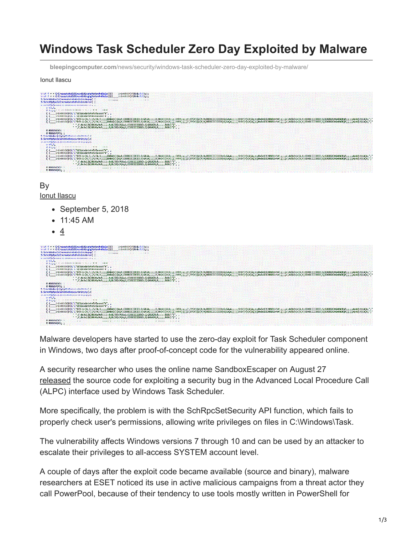## **Windows Task Scheduler Zero Day Exploited by Malware**

**bleepingcomputer.com**[/news/security/windows-task-scheduler-zero-day-exploited-by-malware/](https://www.bleepingcomputer.com/news/security/windows-task-scheduler-zero-day-exploited-by-malware/)

## Ionut Ilascu

| imint6t64343&v3731:1:<br>$v \cdot v4$ 4 = = CrCreaeateteBiBincndidinghgHadandndlele((()                                                                                                                                                                                                                                                                                                                                                                          |
|------------------------------------------------------------------------------------------------------------------------------------------------------------------------------------------------------------------------------------------------------------------------------------------------------------------------------------------------------------------------------------------------------------------------------------------------------------------|
| inint6t64}4)&w&v3/3):):<br>$v \vee 4$ 4 = = CrCreaeateteBiBincndininghgManandndlele((((                                                                                                                                                                                                                                                                                                                                                                          |
| S. SchrhRnRncCcCremeatateDeCnInIdddepap(<br><b>SAN FRANCISCO</b><br>1.7777                                                                                                                                                                                                                                                                                                                                                                                       |
| S. SchchRpRpcCcCrereatateReFoIolddderer( {                                                                                                                                                                                                                                                                                                                                                                                                                       |
| a and full family a sense on northwestern as a sense of the state                                                                                                                                                                                                                                                                                                                                                                                                |
| $v \, v3.3.$                                                                                                                                                                                                                                                                                                                                                                                                                                                     |
| of the contract of the contract of the contract of the contract of the contract of the contract of the contract of                                                                                                                                                                                                                                                                                                                                               |
| inint6t64)4)L'L"U(UpdadateteTaTasask"k",                                                                                                                                                                                                                                                                                                                                                                                                                         |
| {{ inintete4)4)L L UpupdadatetelalasasK K , ,                                                                                                                                                                                                                                                                                                                                                                                                                    |
| inint6t64)4)L'L"D:D:(k(A;N;FçFA;N;;;;;BABA)()(A;A;OIOICICIICID;O;GA3A;;;;;B;BA)A)(A(A;;;;FFFA;;;;;!;SY)Y)(&(A;0IOICICIICIIO;G;GA;A;;;;;SY)Y)(&(A;q;DIOICICIICIIO;G;GA;A;;;;;SY)Y)(&(A;q;DIOICICIICIIO;G;GA;A;;;;;SY)Y)(&(A;q;D<br>((interfe4)4)L"L"D/D:(k(A;\;FcFA;\;;;;BABA)()(A;A;OIOICICIICIO;O;GA3A);;;;B;BA)A)(A(A;;;FFFA;x;;;;5Y)Y)(a(A;4;OIOICICIICIO;G;GA}A;;;;5YY)(a[A;s;;0SY)/(A[A;s;;0x2x13138101bfbf;;;;;/;}AUU)(a(A;4;0IOICICIICIOI;S;SDGDGXCXGWGWG |
| $:$ ; $(3,0)$ , $(3,0)$ , $(3,0)$ , $(3,0)$ , $(4,0)$ , $(5,0)$ , $(6,0)$ , $(7,0)$ , $(6,0)$ , $(7,0)$ , $(8,0)$ , $(7,0)$ , $(8,0)$ , $(9,0)$ , $(9,0)$ , $(9,0)$ , $(9,0)$ , $(9,0)$ , $(9,0)$ , $(9,0)$ , $(9,0)$ , $(9,0$<br>$(0.6, 0.00, 0.000, 0.000, 0.000, 0.000)$ ( $(0.6, 0.0000, 0.0000, 0.0000, 0.0000)$ ),                                                                                                                                         |
| $0.01616414$ : :                                                                                                                                                                                                                                                                                                                                                                                                                                                 |
| $0$ $0i$ <sup>6164</sup> ) <sup>4</sup> ); ;                                                                                                                                                                                                                                                                                                                                                                                                                     |
| C. CrbrbBoBorSrSototSaCarimininitiitud d                                                                                                                                                                                                                                                                                                                                                                                                                         |
| S. SchchRpRpcScSetetSeSecucuriritity(/                                                                                                                                                                                                                                                                                                                                                                                                                           |
| an anciently high-academic conservation as a caracters.                                                                                                                                                                                                                                                                                                                                                                                                          |
| v v 3.3.                                                                                                                                                                                                                                                                                                                                                                                                                                                         |
| $9 - 9 - 3$                                                                                                                                                                                                                                                                                                                                                                                                                                                      |
| inint6t64)4)L'L"U(UpdadateteTaTasask"k", ,                                                                                                                                                                                                                                                                                                                                                                                                                       |
| inint6t64)4)L'L"U(Updadatstelalasask"k", ,                                                                                                                                                                                                                                                                                                                                                                                                                       |
| inint6t64)4)L'L'D/D:(k(A;\;;fçFA;A;;;;;BABA)()(A;A;OIOICICIICIO;0;GA3A;;;;;B;BA)A)(A(A;;;;FFFA;;;;;;SY)Y)(A(A;0IOICICIICIO;0;GA3A;j;;;SY)Y)(A(A;0IOICICIICIO;0;GA3A;0IOICICIICIO;0;GA3A;;;;;5Y)Y)(A(A;0IOICICIICIO;0;GA3A;;;;;                                                                                                                                                                                                                                   |
|                                                                                                                                                                                                                                                                                                                                                                                                                                                                  |
| $:$ $:$ $:$ $:$ $:$ $\in$ $\mathbb{R}$ $:$ $\in$ $\mathbb{R}$ $:$ $:$ $:$ $:$ $:$ $\mathbb{R}$ $:$ $\mathbb{R}$ $:$ $\mathbb{R}$ $:$ $\in$ $\mathbb{R}$ $:$ $:$ $:$ $\mathbb{R}$ $:$ $:$ $:$ $\mathbb{R}$ $:$ $:$ $:$ $:$ $\mathbb{R}$ $:$ $:$ $:$ $\mathbb{R}$ $:$ $:$<br>: ";€;0x3x12L20030a9a9;;;;;B;BU)U)(A(A;G;OIOICIIIIO[O;G;GXGXGR;R;;;;;BUBU)");;;                                                                                                       |
| $A$ $A$ $B$ $A$ $A$ $A$ $\cdot$ $\cdot$                                                                                                                                                                                                                                                                                                                                                                                                                          |
| $\sim$<br><b>Contract Contract Contract</b><br>1.111<br>$-1$ . $-1$<br>$0.016164)4$ : :                                                                                                                                                                                                                                                                                                                                                                          |
|                                                                                                                                                                                                                                                                                                                                                                                                                                                                  |

By [Ionut Ilascu](https://www.bleepingcomputer.com/author/ionut-ilascu/)

- September 5, 2018
- 11:45 AM
- 4

| $v \cdot v4$ 4 = = CrCreaeateteBiBincndidinghgHaHandndlele((()<br>$int 64343348 v 3331$ :                                                                                                                                                                                                                                                                                                                                                                         |
|-------------------------------------------------------------------------------------------------------------------------------------------------------------------------------------------------------------------------------------------------------------------------------------------------------------------------------------------------------------------------------------------------------------------------------------------------------------------|
| $v \vee 4$ 4 = $C$ CreaeateteBiBincndidinghgMadandadlele(((( inint6t64)4)&u&v3/3):):                                                                                                                                                                                                                                                                                                                                                                              |
| S. SchrhRnRncCcCremeatateDeEnInIdddepapf (<br><b>SAN FRANCISCO</b><br>1.177777                                                                                                                                                                                                                                                                                                                                                                                    |
| S-SchchRpRpcCcCrereatateEeFoJo1ddderer( {                                                                                                                                                                                                                                                                                                                                                                                                                         |
| as analytical experiment of the community of the community of a state                                                                                                                                                                                                                                                                                                                                                                                             |
| $v \, v3.3.$<br>A ROLL of the company and the company of the company of the company of the company of the company of the company of the company of the company of the company of the company of the company of the company of the company of t                                                                                                                                                                                                                    |
| (( inint6t64)4)L'L"UfUpdadateteTaTasask"k",<br>{{ inintete4)4)L L UpupdadateteialasasK K , ,                                                                                                                                                                                                                                                                                                                                                                      |
| ((__inint6t64)4)L"L"D/D:(k(A;\;jf;FA;\i;;;;BABA)()(A;A;OIOICICIICIO;O;GA;A;;;;;B;BA)A)(A(A;;;;FFFA;;;;;;5Y)Y)(a(A;4;OIOICICIICIO;G;GA;A;;;;SY)Y)(a(A;4;;;SY)Y)(A(A;1;;;SY)Y)(A(A;3;;DSY)Y)(A(A;3;;DSY)Y)(A(A;3;;SY)Y)(A(A;3;;D                                                                                                                                                                                                                                    |
| ((interest)4)L"L"D/D:(k(A;\;jFcFA;\i;;;;BABA)()(A;A;OIOICICIICIO;0;GA3A;;;;;B;BA)A)(A(A;;;;FFFA;);;;f;SY)Y)(a(A;4;OIOICICIICIO;6;GAA;;;;;SSY)Y)(a(A;4;;;;SAA;;;;;SASY)/(A(A;i;;SSY)/(A(A;i;;SSY)/(A(A;i;;SSY)/(A(A;i;;SSY)/(A(                                                                                                                                                                                                                                    |
| $:$ , 0x3x12L20030a9a9;;;;,B;BU)U}(A(A;G;OIOICIIIIOIO;G;GXGXGR;R;;;;BUBU)")",,                                                                                                                                                                                                                                                                                                                                                                                    |
| $0.01616414$ : :<br><b>Contract</b><br>$00i6i64)4$ ;                                                                                                                                                                                                                                                                                                                                                                                                              |
| C. CrbrbBoBoxSrSototCaCarimininitiitud d                                                                                                                                                                                                                                                                                                                                                                                                                          |
| S. SchchRpRpcScSetetSeSecucurirityty(/(                                                                                                                                                                                                                                                                                                                                                                                                                           |
| an anciscosi propriamamente camamente de a expertist                                                                                                                                                                                                                                                                                                                                                                                                              |
| $v \, v3.3.$                                                                                                                                                                                                                                                                                                                                                                                                                                                      |
| $9.95.5$ . The contract of the contract of $\sim$                                                                                                                                                                                                                                                                                                                                                                                                                 |
| ( ( inint6t64)4)L'L"UfUpdadateteTaTasask"k",                                                                                                                                                                                                                                                                                                                                                                                                                      |
| (( inint6t64)4)L'L"U(Updadatstelalasask"k", ,                                                                                                                                                                                                                                                                                                                                                                                                                     |
| inint6t64)4)L'L'D/D:(k(A;};;FçFA;A;;;;;BABA)()(A;A;0IOICICIICID;0;GA3A;;;;;B;BA)A)(A(A;;;;FFFA;;;;;;;;y;y;SY)Y)(4(A;4;0IOICICIICID;G;GA;A;;;;;SSY)Y)(A(A;1;;;SSY)Y)(A(A;1;;;SSY)Y)(A(A;1;;;SSY)Y)(A(A;1;;SSY)Y)(A(A;1;;SSY)Y)(<br>[inintet64}4]L'L'D/D:(((A;);jFcFA;4;;;;;BABA)()(A;A;000ICICIIICIO;9GA3A;;;;;B;BA)A)(A(A;);jFFFA;);;;;\$75Y)(a(A;4;0IDICICIIICIO;9GA3A;;;;;5NYY)(a(A;4;0IDICICIIICIO;9GA3A;;;;;5NYY)(a(A;4;0IDICICIIICIO;9GA3A;;;;;5NYY)(a(A;4;0 |
| $:$ : $\mathcal{E}: 0 \times 3 \times 12120030a9a9:$ ::::B:BU)U)(A(A:G:OIOICIIIIOIO:G:GXGXGR:R::::BUBU)")"                                                                                                                                                                                                                                                                                                                                                        |
| $:$ ; $\epsilon$ ; 0x3x12L20030a9a9;;;;; B; BU)U)(A(A; G; OIOICIIIIO(O; G; GXGXGR; R;;;;;; BUBU)")",                                                                                                                                                                                                                                                                                                                                                              |
| <b>A ASSISAA1- -</b><br>$\sim$<br>The search of the search of the season<br>A provided a series of the<br>1.1111                                                                                                                                                                                                                                                                                                                                                  |
| $0$ $0i$ <sub>6164</sub> $)4$ ; ;                                                                                                                                                                                                                                                                                                                                                                                                                                 |
|                                                                                                                                                                                                                                                                                                                                                                                                                                                                   |

Malware developers have started to use the zero-day exploit for Task Scheduler component in Windows, two days after proof-of-concept code for the vulnerability appeared online.

A security researcher who uses the online name SandboxEscaper on August 27 [released](http://webcache.googleusercontent.com/search?q=cache%3Ahttps%3A%2F%2Ftwitter.com%2FSandboxEscaper%2Fstatus%2F1034125195148255235&ie=utf-8&oe=utf-8&client=firefox-b-ab) the source code for exploiting a security bug in the Advanced Local Procedure Call (ALPC) interface used by Windows Task Scheduler.

More specifically, the problem is with the SchRpcSetSecurity API function, which fails to properly check user's permissions, allowing write privileges on files in C:\Windows\Task.

The vulnerability affects Windows versions 7 through 10 and can be used by an attacker to escalate their privileges to all-access SYSTEM account level.

A couple of days after the exploit code became available (source and binary), malware researchers at ESET noticed its use in active malicious campaigns from a threat actor they call PowerPool, because of their tendency to use tools mostly written in PowerShell for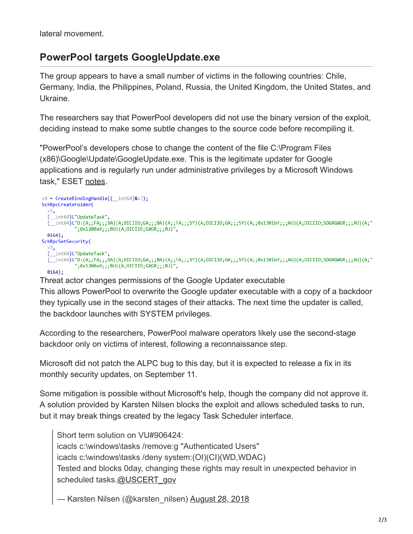lateral movement.

## **PowerPool targets GoogleUpdate.exe**

The group appears to have a small number of victims in the following countries: Chile, Germany, India, the Philippines, Poland, Russia, the United Kingdom, the United States, and Ukraine.

The researchers say that PowerPool developers did not use the binary version of the exploit, deciding instead to make some subtle changes to the source code before recompiling it.

"PowerPool's developers chose to change the content of the file C:\Program Files (x86)\Google\Update\GoogleUpdate.exe. This is the legitimate updater for Google applications and is regularly run under administrative privileges by a Microsoft Windows task," ESET [notes.](https://www.welivesecurity.com/2018/09/05/powerpool-malware-exploits-zero-day-vulnerability/)

```
v4 = CreateBindingHandle(( int64)&v3);
SchRpcCreateFolder(
  ν3,
  (_int64)L"UpdateTask",
  (_int64)L"D:(A;;FA;;;BA)(A;OICIIO;GA;;;BA)(A;;FA;;;SY)(A;OICIIO;GA;;;SY)(A;;0x1301bf;;;AU)(A;OICIIO;SDGXGWGR;;;AU)(A;"
            ";0x1200a9;;;BU)(A;OICIIO;GXGR;;;BU)",
  0i64);SchRpcSetSecurity(
  ν3,
  (_int64)L"UpdateTask",
  (1)(Aj-1010;;;;RA)(Aj-1010;SDGXGWGR;;;BA)(Aj-1010;GA;;FA;;;SY)(Aj-101010;GA;;;SY)(Aj-2011301bf;;;AU)(Aj-1010110;SDGXGWGR;;;AU)(Aj"
            ";0x1200a9;;;BU)(A;OICIIO;GXGR;;;BU)",
  0i64);
```
Threat actor changes permissions of the Google Updater executable

This allows PowerPool to overwrite the Google updater executable with a copy of a backdoor they typically use in the second stages of their attacks. The next time the updater is called, the backdoor launches with SYSTEM privileges.

According to the researchers, PowerPool malware operators likely use the second-stage backdoor only on victims of interest, following a reconnaissance step.

Microsoft did not patch the ALPC bug to this day, but it is expected to release a fix in its monthly security updates, on September 11.

Some mitigation is possible without Microsoft's help, though the company did not approve it. A solution provided by Karsten Nilsen blocks the exploit and allows scheduled tasks to run, but it may break things created by the legacy Task Scheduler interface.

Short term solution on VU#906424: icacls c:\windows\tasks /remove:g "Authenticated Users" icacls c:\windows\tasks /deny system:(OI)(CI)(WD,WDAC) Tested and blocks 0day, changing these rights may result in unexpected behavior in scheduled tasks.[@USCERT\\_gov](https://twitter.com/USCERT_gov?ref_src=twsrc%5Etfw)

— Karsten Nilsen (@karsten\_nilsen) [August 28, 2018](https://twitter.com/karsten_nilsen/status/1034406706879578112?ref_src=twsrc%5Etfw)